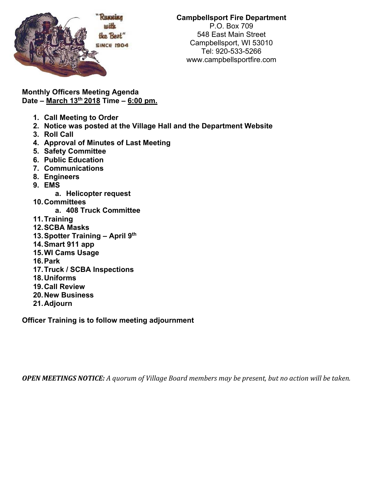

## **Campbellsport Fire Department**  P.O. Box 709 548 East Main Street Campbellsport, WI 53010 Tel: 920-533-5266 www.campbellsportfire.com

**Monthly Officers Meeting Agenda Date – March 13th 2018 Time – 6:00 pm.** 

- **1. Call Meeting to Order**
- **2. Notice was posted at the Village Hall and the Department Website**
- **3. Roll Call**
- **4. Approval of Minutes of Last Meeting**
- **5. Safety Committee**
- **6. Public Education**
- **7. Communications**
- **8. Engineers**
- **9. EMS** 
	- **a. Helicopter request**
- **10. Committees** 
	- **a. 408 Truck Committee**
- **11. Training**
- **12. SCBA Masks**
- **13. Spotter Training April 9th**
- **14. Smart 911 app**
- **15. WI Cams Usage**
- **16. Park**
- **17. Truck / SCBA Inspections**
- **18. Uniforms**
- **19. Call Review**
- **20. New Business**
- **21. Adjourn**

**Officer Training is to follow meeting adjournment** 

**OPEN MEETINGS NOTICE:** A quorum of Village Board members may be present, but no action will be taken.